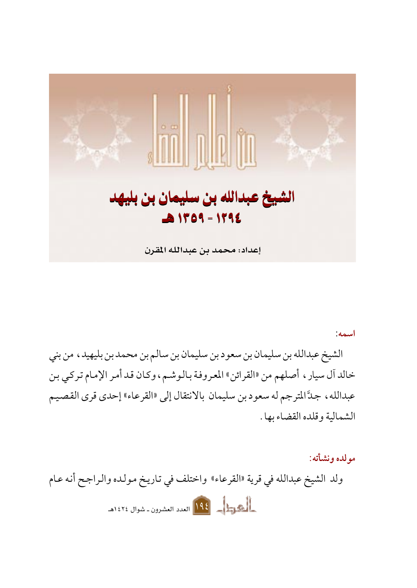

اسمه:

الشيخ عبدالله بن سليمان بن سعود بن سليمان بن سالم بن محمد بن بليهيد، من بني خالد أل سيار ، أصلهم من «القرائن» المعروفة بالوشم، وكان قد أمر الإمام تركي بن عبدالله ، جدَّ المترجم له سعود بن سليمان بالانتقال إلى «القرعاء» إحدى قرى القصيم الشمالية وقلده القضاء بها .

مولده ونشأته: ولد الشيخ عبدالله في قرية «القرعاء» واختلف في تاريخ مولده والراجح أنه عام المحركة العدد العشرون ـ شوال ١٤٢٤هـ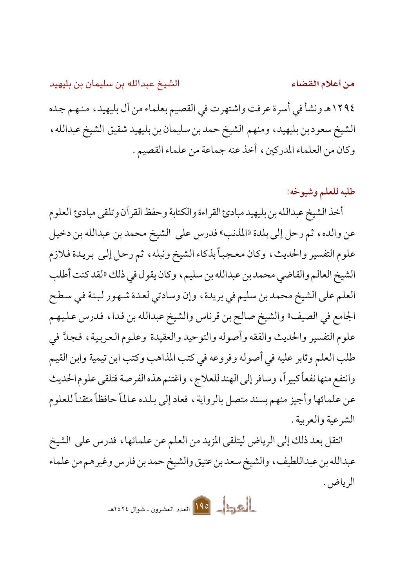الشيخ عبدالله بن سليمان بن بليهيد من أعلام القضاء ١٢٩٤هـ ونشأ في أسرة عرفت واشتهرت في القصيم بعلماء من آل بليهيد ، منهم جده الشيخ سعود بن بليهيد، ومنهم الشيخ حمد بن سليمان بن بليهيد شقيق الشيخ عبدالله، وكان من العلماء المدركين، أخذ عنه جماعة من علماء القصيم.

## طلبه للعلم وشيوخه:

أخذ الشيخ عبدالله بن بليهيد مبادئ القراءة والكتابة وحفظ القر آن وتلقى مبادئ العلوم عن والده، ثم رحل إلى بلدة «المذنب» فدرس على الشيخ محمد بن عبدالله بن دخيل علوم التفسير والحديث، وكان معجباً بذكاء الشيخ ونبله، ثم رحل إلى بريدة فلازم الشيخ العالم والقاضي محمد بن عبدالله بن سليم ، وكان يقول في ذلك «لقد كنت أطلب العلم على الشيخ محمد بن سليم في بريدة، وإن وسادتي لعدة شهور لبنة في سطح الجامع في الصيف» والشيخ صالح بن قرناس والشيخ عبدالله بن فدا ، فدرس عليهم علوم التفسير والحديث والفقه وأصوله والتوحيد والعقيدة وعلوم العربية، فجدَّ في طلب العلم وثابر عليه في أصوله وفروعه في كتب المذاهب وكتب ابن تيمية وابن القيم وانتفع منها نفعاً كبيراً، وسافر إلى الهند للعلاج، واغتنم هذه الفرصة فتلقى علوم الحديث عن علمائها وأجيز منهم بسند متصل بالرواية ، فعاد إلى بلده عالماً حافظاً متقناً للعلوم الشرعية والعربية .

انتقل بعد ذلك إلى الرياض ليتلقى المزيد من العلم عن علمائها ، فدرس على الشيخ عبدالله بن عبداللطيف، والشيخ سعد بن عتيق والشيخ حمد بن فارس وغيرهم من علماء الرياض.

المحمول العام 140 العدد العشرون ـ شوال ١٤٢٤هـ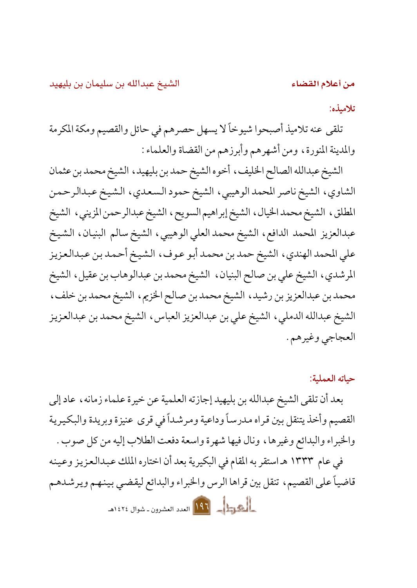من أعلام القضاء

تلامىذە:

تلقى عنه تلاميذ أصبحوا شيوخاً لا يسهل حصرهم في حائل والقصيم ومكة المكرمة والمدينة المنورة، ومن أشهرهم وأبرزهم من القضاة والعلماء :

الشيخ عبدالله الصالح الخليف ، أخوه الشيخ حمد بن بليهيد ، الشيخ محمد بن عثمان الشاوي، الشيخ ناصر المحمد الوهيبي، الشيخ حمود السعدي، الشيخ عبدالرحمن المطلق، الشيخ محمدالخيال، الشيخ إبراهيم السويح، الشيخ عبدالرحمن المزيني، الشيخ عبدالعزيز المحمد الدافع، الشيخ محمد العلى الوهيبي، الشيخ سالم البنيان، الشيخ على المحمد الهندي، الشيخ حمد بن محمد أبو عوف، الشيخ أحمد بن عبدالعزيز المرشدي، الشيخ على بن صالح البنيان، الشيخ محمد بن عبدالوهاب بن عقيل، الشيخ محمد بن عبدالعزيز بن رشيد، الشيخ محمد بن صالح الخزيم، الشيخ محمد بن خلف، الشيخ عبدالله الدملي، الشيخ على بن عبدالعزيز العباس، الشيخ محمد بن عبدالعزيز العجاجي وغيرهم .

حباته العملية:

بعد أن تلقى الشيخ عبدالله بن بليهيد إجازته العلمية عن خيرة علماء زمانه ، عاد إلى القصيم وأخذ يتنقل بين قراه مدرساً وداعية ومر شداً في قرى عنيزة وبريدة والبكيرية والخبراء والبدائع وغيرها، ونال فيها شهرة واسعة دفعت الطلاب إليه من كل صوب .

في عام ١٣٣٣ هـ استقر به المقام في البكيرية بعد أن اختاره الملك عبدالعزيز وعينه قاضياً على القصيم، تنقل بين قراها الرس والخبراء والبدائع ليقضي بينهم ويرشدهم الحجوب العجم العدد العشرون ـ شوال ١٤٢٤هـ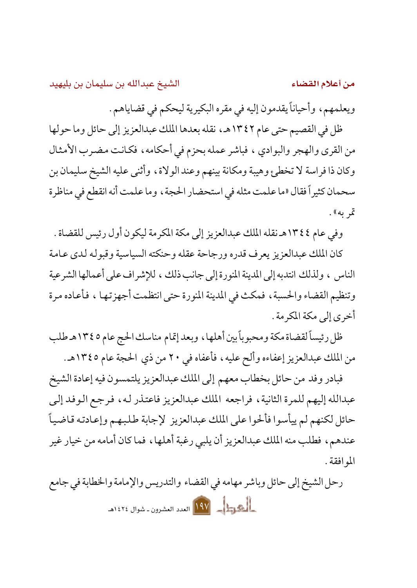من أعلام القضاء

ويعلمهم، وأحياناً يقدمون إليه في مقره البكيرية ليحكم في قضاياهم.

ظل في القصيم حتى عام ١٣٤٢هـ، نقله بعدها الملك عبدالعزيز إلى حائل وما حولها من القرى والهجر والبوادي ، فباشر عمله بحزم في أحكامه، فكانت مضرب الأمثال وكان ذا فراسة لا تخطئ وهيبة ومكانة بينهم وعند الولاة، وأثنى عليه الشيخ سليمان بن سحمان كثيراً فقال «ما علمت مثله في استحضار الحجة ، وما علمت أنه انقطع في مناظرة تمر به».

وفي عام ٢٤٤٢هـ نقله الملك عبدالعزيز إلى مكة المكرمة ليكون أول رئيس للقضاة .

كان الملك عبدالعزيز يعرف قدره ورجاحة عقله وحنكته السياسية وقبوله لدى عامة الناس ، و لذلك انتدبه إلى المدينة المنو د ة إلى جانب ذلك ، للإشراف على أعمالها الشرعية وتنظيم القضاء والحسبة، فمكث في المدينة المنورة حتى انتظمت أجهزتها ، فأعاده مرة أخرى إلى مكة المكرمة .

ظل رئيساً لقضاة مكة ومحبوباً بين أهلها ، وبعد إتمام مناسك الحج عام ١٣٤٥هـ طلب من الملك عبدالعزيز إعفاءه وألح عليه، فأعفاه في ٢٠ من ذي الحجة عام ١٣٤٥هـ.

فبادر وفد من حائل بخطاب معهم إلى الملك عبدالعزيز يلتمسون فيه إعادة الشيخ عبدالله إليهم للمرة الثانية، فراجعه الملك عبدالعزيز فاعتذر له، فرجع الوفد إلى حائل لكنهم لم ييأسوا فألحوا على الملك عبدالعزيز لإجابة طلبهم وإعادته قاضياً عندهم، فطلب منه الملك عبدالعزيز أن يلبي رغبة أهلها، فما كان أمامه من خيار غير المو افقة .

رحل الشيخ إلى حائل وباشر مهامه في القضاء والتدريس والإمامة والخطابة في جامع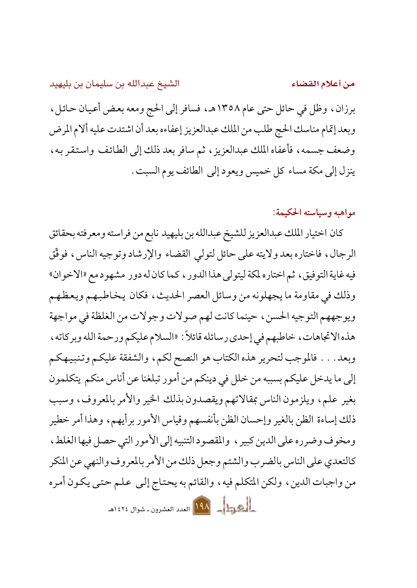من أعلام القضاء

برزان، وظل في حائل حتى عام ١٣٥٨هـ، فسافر إلى الحج ومعه بعض أعيان حائل، وبعد إتمام مناسك الحج طلب من الملك عبدالعزيز إعفاءه بعد أن اشتدت عليه ألام المرض وضعف جسمه، فأعفاه الملك عبدالعزيز، ثم سافر بعد ذلك إلى الطائف واستقر به، ينزل إلى مكة مساء كل خميس ويعود إلى الطائف يوم السبت .

مواهيه وسياسته الحكيمة:

كان اختيار الملك عبدالعزيز للشيخ عبدالله بن بليهيد نابع من فراسته ومعرفته بحقائق الرجال، فاختاره بعد ولايته على حائل لتولى القضاء والإرشاد وتوجيه الناس، فوفَّق فيه غاية التوفيق، ثم اختاره لمكة ليتولى هذا الدور ، كما كان له دور مشهو د مع «الاخوان» وذلك في مقاومة ما يجهلونه من وسائل العصر الحديث، فكان يخاطبهم ويعظهم ويوجههم التوجيه الحسن، حينما كانت لهم صولات وجولات من الغلظة في مواجهة هذه الاتجاهات، خاطبهم في إحدى رسائله قائلاً: «السلام عليكم ورحمة الله وبركاته، وبعد . . . فالموجب لتحرير هذه الكتاب هو النصح لكم، والشفقة عليكم وتنبيهكم إلى ما يدخل عليكم بسببه من خلل في دينكم من أمور تبلغنا عن أناس منكم يتكلمون بغير علم، ويلزمون الناس بمقالاتهم ويقصدون بذلك الخير والأمر بالمعروف، وسبب ذلك إساءة الظن بالغير وإحسان الظن بأنفسهم وقياس الأمور برأيهم، وهذا أمر خطير ومخوف وضرره على الدين كبير ، والمقصود التنبيه إلى الأمور التي حصل فيها الغلط ، كالتعدي على الناس بالضرب والشتم وجعل ذلك من الأمر بالمعروف والنهى عن المنكر من واجبات الدين، ولكن المتكلم فيه، والقائم به يحتاج إلى علم حتى يكون أمره المصر المسلم المعدد العشرون ـ شوال ١٤٢٤هـ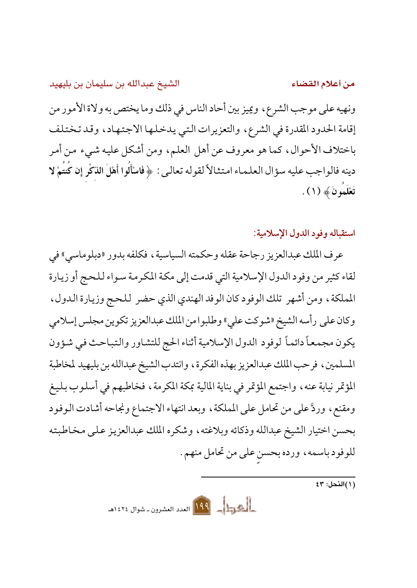من أعلام القضاء

ونهيه على موجب الشرع، ويميز بين أحاد الناس في ذلك وما يختص به ولاة الأمور من إقامة الحدود المقدرة في الشرع، والتعزيرات التبي يدخلها الاجتهاد، وقد تختلف باختلاف الأحوال، كما هو معروف عن أهل العلم، ومن أشكل عليه شيء من أمر دينه فالواجب عليه سؤال العلماء امتثالاً لقوله تعالىي : ﴿ فَاسْأَلُوا أَهْلَ الذِّكْرِ إِن كُتُمْ لا تَعْلَمُونَ ﴾ (١) .

استقباله وفود الدول الإسلامية:

عرف الملك عبدالعزيز رجاحة عقله وحكمته السياسية ، فكلفه بدور «دبلوماسي» في لقاء كثير من وفود الدول الإسلامية التي قدمت إلى مكة المكرمة سواء للحج أو زيارة المملكة، ومن أشهر تلك الوفود كان الوفد الهندي الذي حضر للحج وزيارة الدول، وكان على رأسه الشيخ «شوكت على» وطلبوا من الملك عبدالعزيز تكوين مجلس إسلامي يكون مجمعاً دائماً لوفود الدول الإسلامية أثناء الحج للتشاور والتباحث فيي شؤون المسلمين ، فرحب الملك عبدالعزيز بهذه الفكرة ، وانتدب الشيخ عبدالله بن بليهيد لمخاطبة المؤتمر نيابة عنه، واجتمع المؤتمر في بناية المالية بمكة المكرمة، فخاطبهم في أسلوب بليغ ومقنع، وردَّ على من تحامل على المملكة، وبعد انتهاء الاجتماع ونجاحه أشادت الوفود بحسن اختيار الشيخ عبدالله وذكائه وبلاغته، وشكره الملك عبدالعزيز على مخاطبته للوفود باسمه، ورده بحسن على من تحامل منهم .

المحمول 1491 العدد العشرون ـ شوال ١٤٢٤هـ

 $\overline{\mathfrak{z}^{\mathfrak{w}}:\mathfrak{z}^{\mathfrak{w}}(\mathfrak{t})}$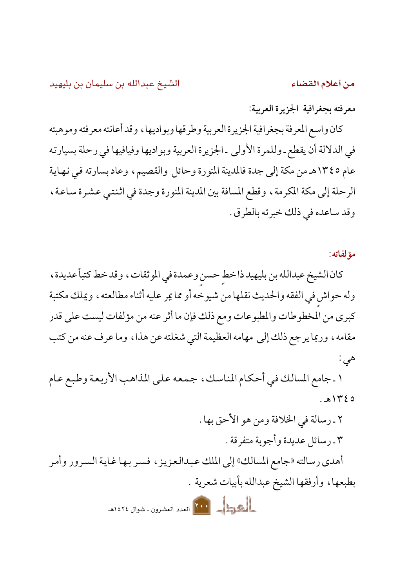من أعلام القضاء

معرفته بجغرافية الجزيرة العربية:

كان واسع المعرفة بجغرافية الجزيرة العربية وطرقها وبواديها ، وقد أعانته معرفته وموهبته في الدلالة أن يقطع ـ وللمرة الأولى ـ الجزيرة العربية وبواديها وفيافيها في رحلة بسيارته عام ١٣٤٥هـ من مكة إلى جدة فالمدينة المنورة وحائل والقصيم، وعاد بسارته في نهاية الرحلة إلى مكة المكرمة ، وقطع المسافة بين المدينة المنورة وجدة في اثنتي عشرة ساعة ، وقد ساعده في ذلك خبرته بالطرق .

مؤلفاته:

كان الشيخ عبدالله بن بليهيد ذا خط حسن وعمدة في الموثقات، وقد خط كتباً عديدة، وله حواش في الفقه والحديث نقلها من شيوخه أو مما يمر عليه أثناء مطالعته ، ويملك مكتبة كبرى من المخطوطات والمطبوعات ومع ذلك فإن ما أثر عنه من مؤلفات ليست على قدر مقامه، وربما يرجع ذلك إلى مهامه العظيمة التي شغلته عن هذا، وما عرف عنه من كتب هي :

١ ـ جامع المسالك في أحكام المناسك، جمعه على المذاهب الأربعة وطبع عام  $.81420$ 

٢ ـ رسالة في الخلافة ومن هو الأحق بها . ٣ ـ رسائل عديدة وأجوبة متفرقة . أهدي رسالته «جامع المسالك» إلى الملك عبدالعزيز ، فسر بها غاية السرور وأمر

بطبعها، وأرفقها الشيخ عبدالله بأبيات شعرية .

الجهول المعلم العدد العشرون ـ شوال ١٤٢٤هـ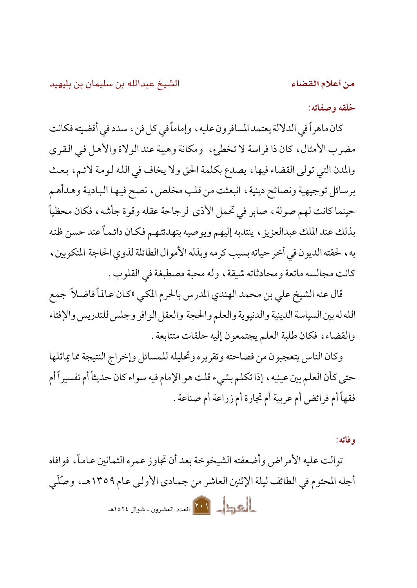من أعلام القضاء

الشيخ عبدالله بن سليمان بن بليهيد

خلقه وصفاته:

كان ماهراً في الدلالة يعتمد المسافرون عليه ، وإماماً في كل فن ، سدد في أقضيته فكانت مضرب الأمثال، كان ذا فراسة لا تخطئ، ومكانة وهيبة عند الولاة والأهل في القرى والمدن التي تولى القضاء فيها، يصدع بكلمة الحق ولا يخاف في الله لومة لائم، بعث برسائل توجيهية ونصائح دينية، انبعثت من قلب مخلص، نصح فيها البادية وهدأهم حينما كانت لهم صولة ، صابر في تحمل الأذى لرجاحة عقله وقوة جأشه ، فكان محظياً بذلك عند الملك عبدالعزيز ، ينتدبه إليهم ويوصيه بتهدئتهم فكان دائماً عند حسن ظنه به ، لحقته الديون في أخر حياته بسبب كرمه وبذله الأموال الطائلة لذوى الحاجة المنكوبين ، كانت مجالسه ماتعة ومحادثاته شيقة ، وله محبة مصطبغة في القلوب .

قال عنه الشيخ على بن محمد الهندي المدرس بالحرم المكي «كان عـالماً فاضـلاً جمع الله له بين السياسة الدينية والدنيوية والعلم والحجة والعقل الوافر وجلس للتدريس والإفتاء والقضاء، فكان طلبة العلم يجتمعون إليه حلقات متتابعة .

وكان الناس يتعجبون من فصاحته وتقريره وتحليله للمسائل وإخراج النتيجة مما يماثلها حتى كأن العلم بين عينيه ، إذا تكلم بشيء قلت هو الإمام فيه سواء كان حديثاً أم تفسيراً أم فقهاً أم فرائض أم عربية أم تجارة أم زراعة أم صناعة .

وفاته:

توالت عليه الأمر اض وأضعفته الشيخوخة بعد أن تجاوز عمره الثمانين عاماً، فوافاه أجله المحتوم في الطائف ليلة الإثنين العاشر من جمادي الأولى عام ١٣٥٩هـ، وصُلَّى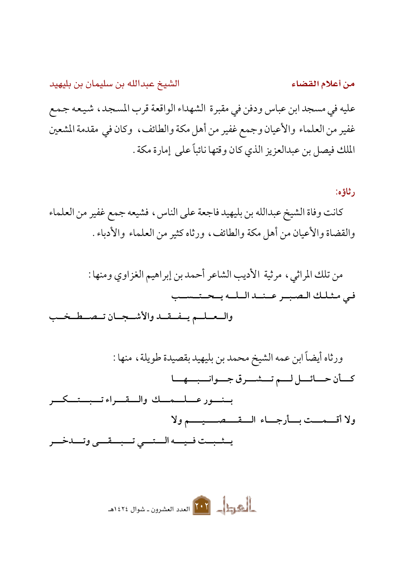الشيخ عبدالله بن سليمان بن بليهيد من أعلام القضاء عليه في مسجد ابن عباس ودفن في مقبرة الشهداء الواقعة قرب المسجد، شيعه جمع غفير من العلماء والأعيان وجمع غفير من أهل مكة والطائف، وكان في مقدمة المشعين الملك فيصل بن عبدالعزيز الذي كان وقتها نائباً على إمارة مكة .

ر ثاؤه:

كانت وفاة الشيخ عبدالله بن بليهيد فاجعة على الناس، فشيعه جمع غفير من العلماء والقضاة والأعيان من أهل مكة والطائف، ورثاه كثير من العلماء والأدباء .

من تلك المراثي، مرثية الأديب الشاعر أحمد بن إبراهيم الغزاوي ومنها : في مثلك الصبير عنند البليه يتحتيسيب والمعلم يفقله والأشجان تصطخب

ورثاه أيضاً ابن عمه الشيخ محمد بن بليهيد بقصيدة طويلة، منها : كسأن حسائسل لسم تسشسرق جسوانسبسهسا بسنسور عسلسمسك والسقسراء تسبستسكسر

ولا أقسمست بسأرجساء السقسصسيسم ولا

يسثسبت فسيسه الستسمى تسبسقسي وتسدخسر